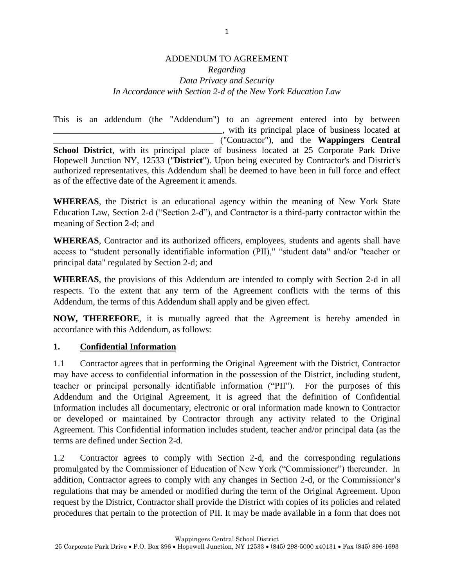#### ADDENDUM TO AGREEMENT *Regarding Data Privacy and Security In Accordance with Section 2-d of the New York Education Law*

This is an addendum (the "Addendum") to an agreement entered into by between \_\_\_\_\_\_\_\_\_\_\_\_\_\_\_\_\_\_\_\_\_\_\_\_\_\_\_\_\_\_\_\_\_\_\_\_\_\_, with its principal place of business located at \_\_\_\_\_\_\_\_\_\_\_\_\_\_\_\_\_\_\_\_\_\_\_\_\_\_\_\_\_\_\_\_\_\_\_\_ ("Contractor"), and the **Wappingers Central School District**, with its principal place of business located at 25 Corporate Park Drive Hopewell Junction NY, 12533 ("**District**"). Upon being executed by Contractor's and District's authorized representatives, this Addendum shall be deemed to have been in full force and effect as of the effective date of the Agreement it amends.

**WHEREAS**, the District is an educational agency within the meaning of New York State Education Law, Section 2-d ("Section 2-d"), and Contractor is a third-party contractor within the meaning of Section 2-d; and

**WHEREAS**, Contractor and its authorized officers, employees, students and agents shall have access to "student personally identifiable information (PII)," "student data" and/or "teacher or principal data" regulated by Section 2-d; and

**WHEREAS**, the provisions of this Addendum are intended to comply with Section 2-d in all respects. To the extent that any term of the Agreement conflicts with the terms of this Addendum, the terms of this Addendum shall apply and be given effect.

**NOW, THEREFORE**, it is mutually agreed that the Agreement is hereby amended in accordance with this Addendum, as follows:

### **1. Confidential Information**

1.1 Contractor agrees that in performing the Original Agreement with the District, Contractor may have access to confidential information in the possession of the District, including student, teacher or principal personally identifiable information ("PII"). For the purposes of this Addendum and the Original Agreement, it is agreed that the definition of Confidential Information includes all documentary, electronic or oral information made known to Contractor or developed or maintained by Contractor through any activity related to the Original Agreement. This Confidential information includes student, teacher and/or principal data (as the terms are defined under Section 2-d.

1.2 Contractor agrees to comply with Section 2-d, and the corresponding regulations promulgated by the Commissioner of Education of New York ("Commissioner") thereunder. In addition, Contractor agrees to comply with any changes in Section 2-d, or the Commissioner's regulations that may be amended or modified during the term of the Original Agreement. Upon request by the District, Contractor shall provide the District with copies of its policies and related procedures that pertain to the protection of PII. It may be made available in a form that does not

Wappingers Central School District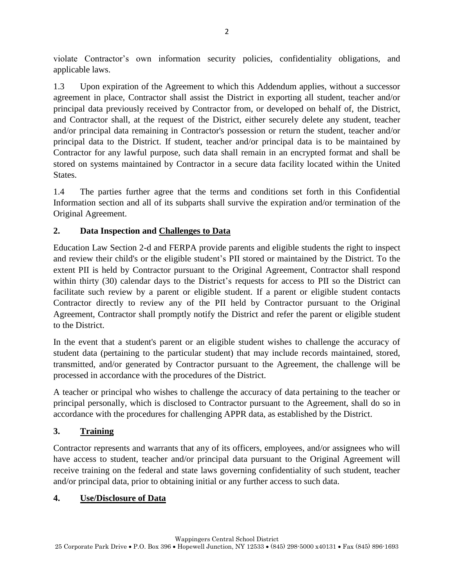violate Contractor's own information security policies, confidentiality obligations, and applicable laws.

1.3 Upon expiration of the Agreement to which this Addendum applies, without a successor agreement in place, Contractor shall assist the District in exporting all student, teacher and/or principal data previously received by Contractor from, or developed on behalf of, the District, and Contractor shall, at the request of the District, either securely delete any student, teacher and/or principal data remaining in Contractor's possession or return the student, teacher and/or principal data to the District. If student, teacher and/or principal data is to be maintained by Contractor for any lawful purpose, such data shall remain in an encrypted format and shall be stored on systems maintained by Contractor in a secure data facility located within the United States.

1.4 The parties further agree that the terms and conditions set forth in this Confidential Information section and all of its subparts shall survive the expiration and/or termination of the Original Agreement.

## **2. Data Inspection and Challenges to Data**

Education Law Section 2-d and FERPA provide parents and eligible students the right to inspect and review their child's or the eligible student's PII stored or maintained by the District. To the extent PII is held by Contractor pursuant to the Original Agreement, Contractor shall respond within thirty (30) calendar days to the District's requests for access to PII so the District can facilitate such review by a parent or eligible student. If a parent or eligible student contacts Contractor directly to review any of the PII held by Contractor pursuant to the Original Agreement, Contractor shall promptly notify the District and refer the parent or eligible student to the District.

In the event that a student's parent or an eligible student wishes to challenge the accuracy of student data (pertaining to the particular student) that may include records maintained, stored, transmitted, and/or generated by Contractor pursuant to the Agreement, the challenge will be processed in accordance with the procedures of the District.

A teacher or principal who wishes to challenge the accuracy of data pertaining to the teacher or principal personally, which is disclosed to Contractor pursuant to the Agreement, shall do so in accordance with the procedures for challenging APPR data, as established by the District.

# **3. Training**

Contractor represents and warrants that any of its officers, employees, and/or assignees who will have access to student, teacher and/or principal data pursuant to the Original Agreement will receive training on the federal and state laws governing confidentiality of such student, teacher and/or principal data, prior to obtaining initial or any further access to such data.

## **4. Use/Disclosure of Data**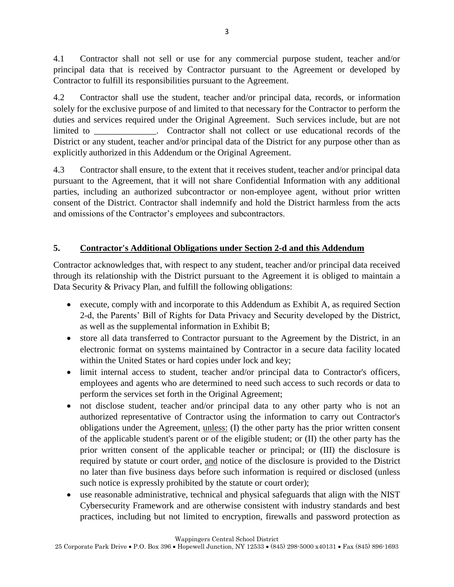4.1 Contractor shall not sell or use for any commercial purpose student, teacher and/or principal data that is received by Contractor pursuant to the Agreement or developed by Contractor to fulfill its responsibilities pursuant to the Agreement.

4.2 Contractor shall use the student, teacher and/or principal data, records, or information solely for the exclusive purpose of and limited to that necessary for the Contractor to perform the duties and services required under the Original Agreement. Such services include, but are not limited to \_\_\_\_\_\_\_\_\_\_\_\_\_. Contractor shall not collect or use educational records of the District or any student, teacher and/or principal data of the District for any purpose other than as explicitly authorized in this Addendum or the Original Agreement.

4.3 Contractor shall ensure, to the extent that it receives student, teacher and/or principal data pursuant to the Agreement, that it will not share Confidential Information with any additional parties, including an authorized subcontractor or non-employee agent, without prior written consent of the District. Contractor shall indemnify and hold the District harmless from the acts and omissions of the Contractor's employees and subcontractors.

## **5. Contractor's Additional Obligations under Section 2-d and this Addendum**

Contractor acknowledges that, with respect to any student, teacher and/or principal data received through its relationship with the District pursuant to the Agreement it is obliged to maintain a Data Security & Privacy Plan, and fulfill the following obligations:

- execute, comply with and incorporate to this Addendum as Exhibit A, as required Section 2-d, the Parents' Bill of Rights for Data Privacy and Security developed by the District, as well as the supplemental information in Exhibit B;
- store all data transferred to Contractor pursuant to the Agreement by the District, in an electronic format on systems maintained by Contractor in a secure data facility located within the United States or hard copies under lock and key;
- limit internal access to student, teacher and/or principal data to Contractor's officers, employees and agents who are determined to need such access to such records or data to perform the services set forth in the Original Agreement;
- not disclose student, teacher and/or principal data to any other party who is not an authorized representative of Contractor using the information to carry out Contractor's obligations under the Agreement, unless: (I) the other party has the prior written consent of the applicable student's parent or of the eligible student; or (II) the other party has the prior written consent of the applicable teacher or principal; or (III) the disclosure is required by statute or court order, and notice of the disclosure is provided to the District no later than five business days before such information is required or disclosed (unless such notice is expressly prohibited by the statute or court order);
- use reasonable administrative, technical and physical safeguards that align with the NIST Cybersecurity Framework and are otherwise consistent with industry standards and best practices, including but not limited to encryption, firewalls and password protection as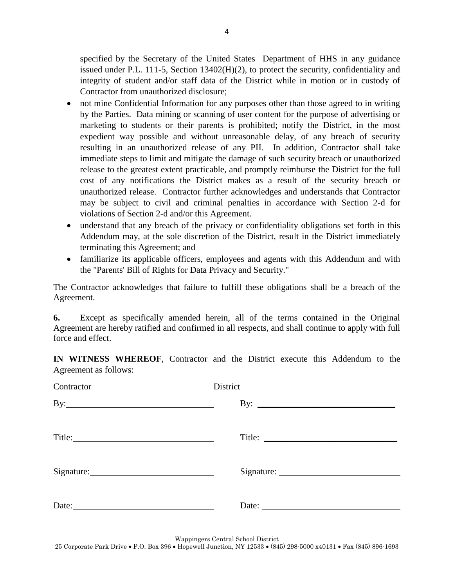specified by the Secretary of the United States Department of HHS in any guidance issued under P.L. 111-5, Section 13402(H)(2), to protect the security, confidentiality and integrity of student and/or staff data of the District while in motion or in custody of Contractor from unauthorized disclosure;

- not mine Confidential Information for any purposes other than those agreed to in writing by the Parties. Data mining or scanning of user content for the purpose of advertising or marketing to students or their parents is prohibited; notify the District, in the most expedient way possible and without unreasonable delay, of any breach of security resulting in an unauthorized release of any PII. In addition, Contractor shall take immediate steps to limit and mitigate the damage of such security breach or unauthorized release to the greatest extent practicable, and promptly reimburse the District for the full cost of any notifications the District makes as a result of the security breach or unauthorized release. Contractor further acknowledges and understands that Contractor may be subject to civil and criminal penalties in accordance with Section 2-d for violations of Section 2-d and/or this Agreement.
- understand that any breach of the privacy or confidentiality obligations set forth in this Addendum may, at the sole discretion of the District, result in the District immediately terminating this Agreement; and
- familiarize its applicable officers, employees and agents with this Addendum and with the "Parents' Bill of Rights for Data Privacy and Security."

The Contractor acknowledges that failure to fulfill these obligations shall be a breach of the Agreement.

**6.** Except as specifically amended herein, all of the terms contained in the Original Agreement are hereby ratified and confirmed in all respects, and shall continue to apply with full force and effect.

**IN WITNESS WHEREOF**, Contractor and the District execute this Addendum to the Agreement as follows:

| Contractor                                                                                                      | District              |
|-----------------------------------------------------------------------------------------------------------------|-----------------------|
| $\mathbf{By:}\_\_\_\_\_\_\_\$                                                                                   | By: $\qquad \qquad$   |
| Title: The Commission of the Commission of the Commission of the Commission of the Commission of the Commission | Title:                |
|                                                                                                                 |                       |
| Date:                                                                                                           | Date: $\qquad \qquad$ |

Wappingers Central School District

25 Corporate Park Drive • P.O. Box 396 • Hopewell Junction, NY 12533 • (845) 298-5000 x40131 • Fax (845) 896-1693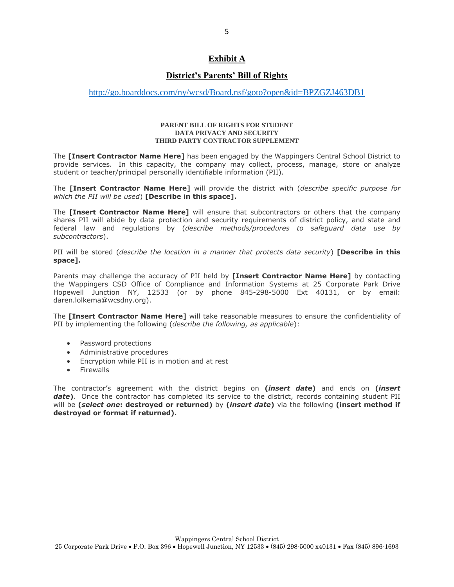#### **Exhibit A**

### **District's Parents' Bill of Rights**

#### <http://go.boarddocs.com/ny/wcsd/Board.nsf/goto?open&id=BPZGZJ463DB1>

#### **PARENT BILL OF RIGHTS FOR STUDENT DATA PRIVACY AND SECURITY THIRD PARTY CONTRACTOR SUPPLEMENT**

The **[Insert Contractor Name Here]** has been engaged by the Wappingers Central School District to provide services. In this capacity, the company may collect, process, manage, store or analyze student or teacher/principal personally identifiable information (PII).

The **[Insert Contractor Name Here]** will provide the district with (*describe specific purpose for which the PII will be used*) **[Describe in this space].**

The **[Insert Contractor Name Here]** will ensure that subcontractors or others that the company shares PII will abide by data protection and security requirements of district policy, and state and federal law and regulations by (*describe methods/procedures to safeguard data use by subcontractors*).

PII will be stored (*describe the location in a manner that protects data security*) **[Describe in this space].**

Parents may challenge the accuracy of PII held by **[Insert Contractor Name Here]** by contacting the Wappingers CSD Office of Compliance and Information Systems at 25 Corporate Park Drive Hopewell Junction NY, 12533 (or by phone 845-298-5000 Ext 40131, or by email: daren.lolkema@wcsdny.org).

The **[Insert Contractor Name Here]** will take reasonable measures to ensure the confidentiality of PII by implementing the following (*describe the following, as applicable*):

- Password protections
- Administrative procedures
- Encryption while PII is in motion and at rest
- **•** Firewalls

The contractor's agreement with the district begins on **(***insert date***)** and ends on **(***insert* date). Once the contractor has completed its service to the district, records containing student PII will be **(***select one***: destroyed or returned)** by **(***insert date***)** via the following **(insert method if destroyed or format if returned).**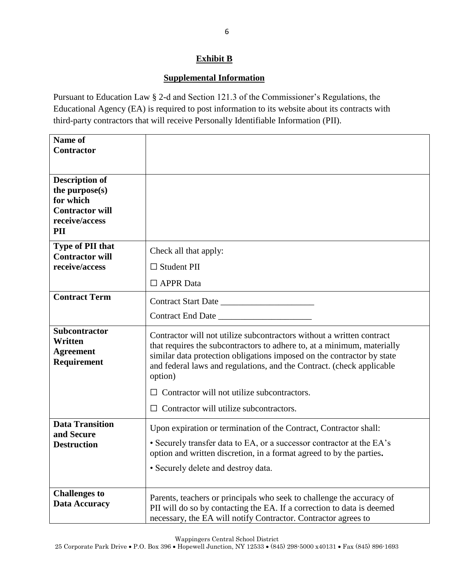## **Exhibit B**

## **Supplemental Information**

Pursuant to Education Law § 2-d and Section 121.3 of the Commissioner's Regulations, the Educational Agency (EA) is required to post information to its website about its contracts with third-party contractors that will receive Personally Identifiable Information (PII).

| Name of                                                     |                                                                                                                                                                                                                                                                                                                |
|-------------------------------------------------------------|----------------------------------------------------------------------------------------------------------------------------------------------------------------------------------------------------------------------------------------------------------------------------------------------------------------|
| <b>Contractor</b>                                           |                                                                                                                                                                                                                                                                                                                |
|                                                             |                                                                                                                                                                                                                                                                                                                |
|                                                             |                                                                                                                                                                                                                                                                                                                |
| <b>Description of</b><br>the purpose(s)                     |                                                                                                                                                                                                                                                                                                                |
| for which                                                   |                                                                                                                                                                                                                                                                                                                |
| <b>Contractor will</b>                                      |                                                                                                                                                                                                                                                                                                                |
| receive/access                                              |                                                                                                                                                                                                                                                                                                                |
| PII                                                         |                                                                                                                                                                                                                                                                                                                |
| <b>Type of PII that</b><br><b>Contractor will</b>           | Check all that apply:                                                                                                                                                                                                                                                                                          |
| receive/access                                              | $\Box$ Student PII                                                                                                                                                                                                                                                                                             |
|                                                             | $\Box$ APPR Data                                                                                                                                                                                                                                                                                               |
| <b>Contract Term</b>                                        |                                                                                                                                                                                                                                                                                                                |
|                                                             |                                                                                                                                                                                                                                                                                                                |
| Subcontractor<br>Written<br><b>Agreement</b><br>Requirement | Contractor will not utilize subcontractors without a written contract<br>that requires the subcontractors to adhere to, at a minimum, materially<br>similar data protection obligations imposed on the contractor by state<br>and federal laws and regulations, and the Contract. (check applicable<br>option) |
|                                                             | Contractor will not utilize subcontractors.                                                                                                                                                                                                                                                                    |
|                                                             | Contractor will utilize subcontractors.                                                                                                                                                                                                                                                                        |
| <b>Data Transition</b>                                      | Upon expiration or termination of the Contract, Contractor shall:                                                                                                                                                                                                                                              |
| and Secure<br><b>Destruction</b>                            | • Securely transfer data to EA, or a successor contractor at the EA's                                                                                                                                                                                                                                          |
|                                                             | option and written discretion, in a format agreed to by the parties.                                                                                                                                                                                                                                           |
|                                                             | · Securely delete and destroy data.                                                                                                                                                                                                                                                                            |
|                                                             |                                                                                                                                                                                                                                                                                                                |
| <b>Challenges to</b>                                        | Parents, teachers or principals who seek to challenge the accuracy of                                                                                                                                                                                                                                          |
| Data Accuracy                                               | PII will do so by contacting the EA. If a correction to data is deemed                                                                                                                                                                                                                                         |
|                                                             | necessary, the EA will notify Contractor. Contractor agrees to                                                                                                                                                                                                                                                 |

Wappingers Central School District

25 Corporate Park Drive • P.O. Box 396 • Hopewell Junction, NY 12533 • (845) 298-5000 x40131 • Fax (845) 896-1693